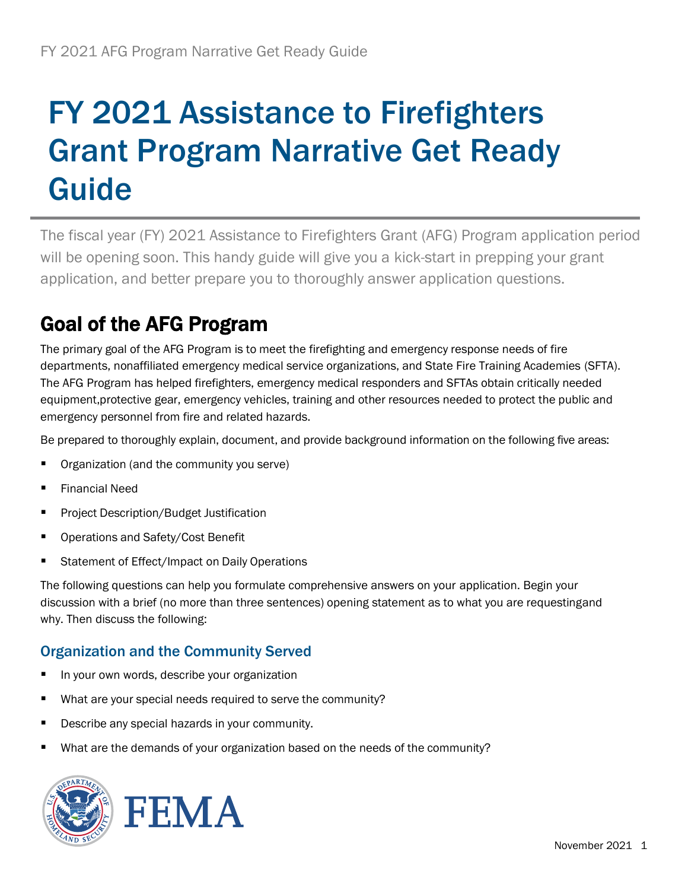# FY 2021 Assistance to Firefighters Grant Program Narrative Get Ready Guide

The fiscal year (FY) 2021 Assistance to Firefighters Grant (AFG) Program application period will be opening soon. This handy guide will give you a kick-start in prepping your grant application, and better prepare you to thoroughly answer application questions.

## Goal of the AFG Program

The primary goal of the AFG Program is to meet the firefighting and emergency response needs of fire departments, nonaffiliated emergency medical service organizations, and State Fire Training Academies (SFTA). The AFG Program has helped firefighters, emergency medical responders and SFTAs obtain critically needed equipment,protective gear, emergency vehicles, training and other resources needed to protect the public and emergency personnel from fire and related hazards.

Be prepared to thoroughly explain, document, and provide background information on the following five areas:

- Organization (and the community you serve)
- **Financial Need**
- **Project Description/Budget Justification**
- Operations and Safety/Cost Benefit
- Statement of Effect/Impact on Daily Operations

The following questions can help you formulate comprehensive answers on your application. Begin your discussion with a brief (no more than three sentences) opening statement as to what you are requestingand why. Then discuss the following:

#### Organization and the Community Served

- In your own words, describe your organization
- What are your special needs required to serve the community?
- Describe any special hazards in your community.
- What are the demands of your organization based on the needs of the community?



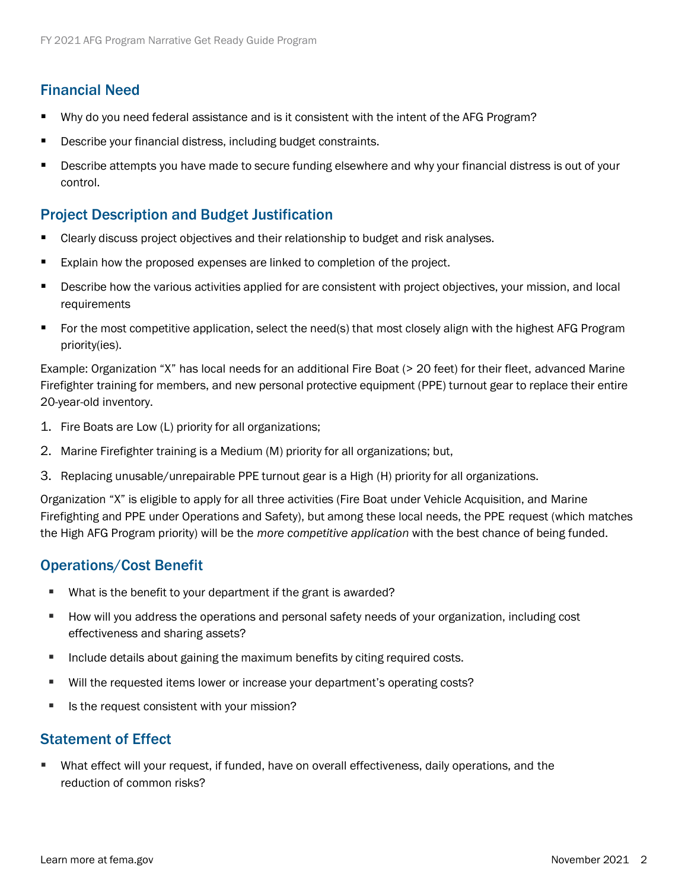### Financial Need

- Why do you need federal assistance and is it consistent with the intent of the AFG Program?
- Describe your financial distress, including budget constraints.
- **EXTENDER INTER 20 IS SETTEM FIROL THE SECUTE THE SETTE FOR SETTE IS All FINANCE SETTEM** FINAL OF your section of your control.

#### Project Description and Budget Justification

- Clearly discuss project objectives and their relationship to budget and risk analyses.
- Explain how the proposed expenses are linked to completion of the project.
- Describe how the various activities applied for are consistent with project objectives, your mission, and local requirements
- For the most competitive application, select the need(s) that most closely align with the highest AFG Program priority(ies).

Example: Organization "X" has local needs for an additional Fire Boat (> 20 feet) for their fleet, advanced Marine Firefighter training for members, and new personal protective equipment (PPE) turnout gear to replace their entire 20-year-old inventory.

- 1. Fire Boats are Low (L) priority for all organizations;
- 2. Marine Firefighter training is a Medium (M) priority for all organizations; but,
- 3. Replacing unusable/unrepairable PPE turnout gear is a High (H) priority for all organizations.

Organization "X" is eligible to apply for all three activities (Fire Boat under Vehicle Acquisition, and Marine Firefighting and PPE under Operations and Safety), but among these local needs, the PPE request (which matches the High AFG Program priority) will be the *more competitive application* with the best chance of being funded.

#### Operations/Cost Benefit

- What is the benefit to your department if the grant is awarded?
- How will you address the operations and personal safety needs of your organization, including cost effectiveness and sharing assets?
- **■** Include details about gaining the maximum benefits by citing required costs.
- Will the requested items lower or increase your department's operating costs?
- Is the request consistent with your mission?

#### Statement of Effect

What effect will your request, if funded, have on overall effectiveness, daily operations, and the reduction of common risks?